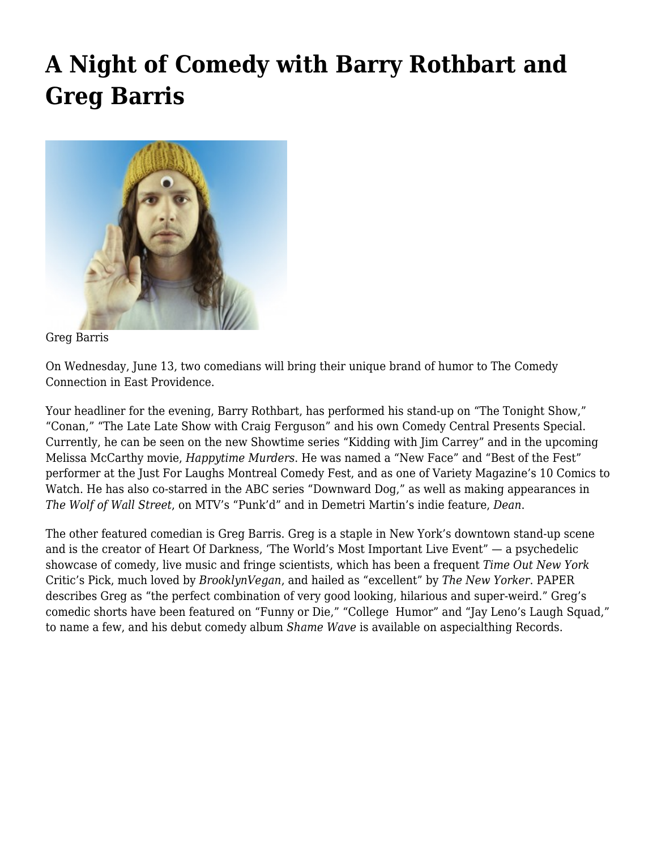## **[A Night of Comedy with Barry Rothbart and](https://motifri.com/barry-rothbart-and-greg-barris/) [Greg Barris](https://motifri.com/barry-rothbart-and-greg-barris/)**



Greg Barris

On Wednesday, June 13, two comedians will bring their unique brand of humor to The Comedy Connection in East Providence.

Your headliner for the evening, Barry Rothbart, has performed his stand-up on "The Tonight Show," "Conan," "The Late Late Show with Craig Ferguson" and his own Comedy Central Presents Special. Currently, he can be seen on the new Showtime series "Kidding with Jim Carrey" and in the upcoming Melissa McCarthy movie, *Happytime Murders*. He was named a "New Face" and "Best of the Fest" performer at the Just For Laughs Montreal Comedy Fest, and as one of Variety Magazine's 10 Comics to Watch. He has also co-starred in the ABC series "Downward Dog," as well as making appearances in *The Wolf of Wall Street*, on MTV's "Punk'd" and in Demetri Martin's indie feature, *Dean*.

The other featured comedian is Greg Barris. Greg is a staple in New York's downtown stand-up scene and is the creator of Heart Of Darkness, 'The World's Most Important Live Event" — a psychedelic showcase of comedy, live music and fringe scientists, which has been a frequent *Time Out New York* Critic's Pick, much loved by *BrooklynVegan*, and hailed as "excellent" by *The New Yorker*. PAPER describes Greg as "the perfect combination of very good looking, hilarious and super-weird." Greg's comedic shorts have been featured on "Funny or Die," "College Humor" and "Jay Leno's Laugh Squad," to name a few, and his debut comedy album *Shame Wave* is available on aspecialthing Records.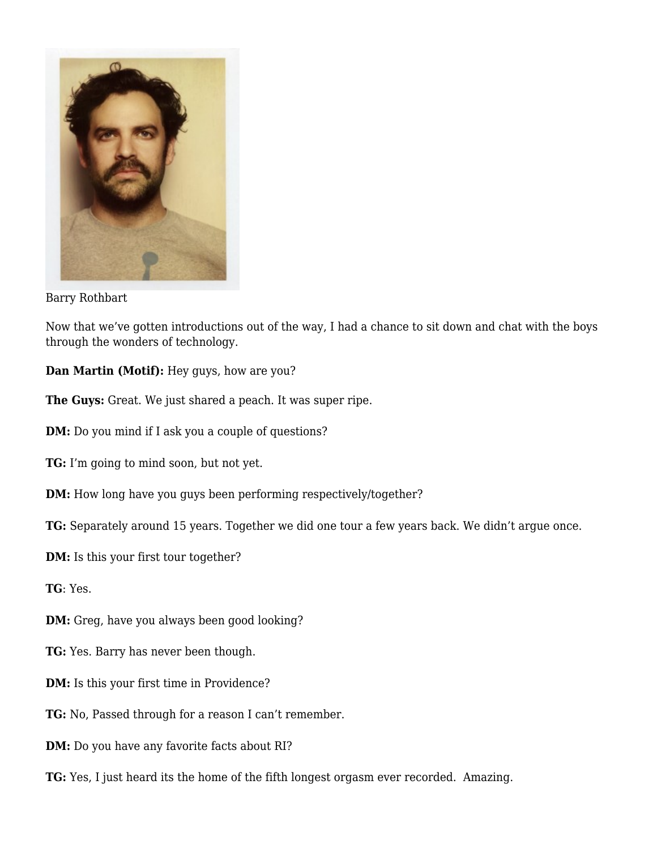

Barry Rothbart

Now that we've gotten introductions out of the way, I had a chance to sit down and chat with the boys through the wonders of technology.

**Dan Martin (Motif):** Hey guys, how are you?

**The Guys:** Great. We just shared a peach. It was super ripe.

**DM:** Do you mind if I ask you a couple of questions?

- **TG:** I'm going to mind soon, but not yet.
- **DM:** How long have you guys been performing respectively/together?

**TG:** Separately around 15 years. Together we did one tour a few years back. We didn't argue once.

- **DM:** Is this your first tour together?
- **TG**: Yes.
- **DM:** Greg, have you always been good looking?
- **TG:** Yes. Barry has never been though.
- **DM:** Is this your first time in Providence?
- **TG:** No, Passed through for a reason I can't remember.
- **DM:** Do you have any favorite facts about RI?
- **TG:** Yes, I just heard its the home of the fifth longest orgasm ever recorded. Amazing.